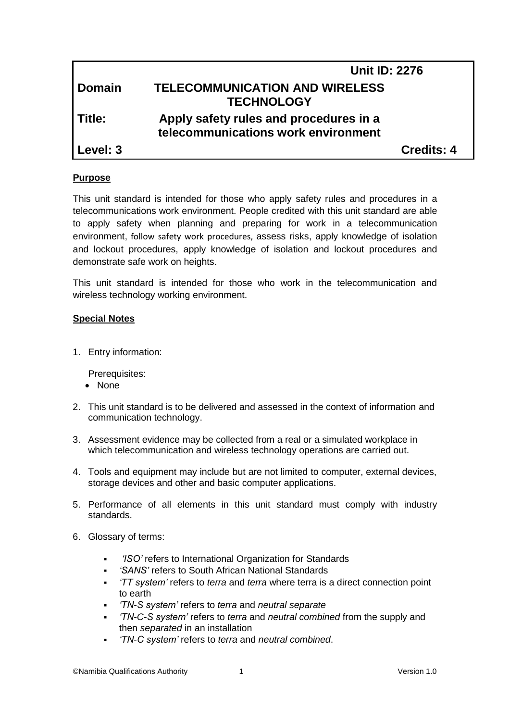|               | <b>Unit ID: 2276</b>                                                          |                   |
|---------------|-------------------------------------------------------------------------------|-------------------|
| <b>Domain</b> | <b>TELECOMMUNICATION AND WIRELESS</b><br><b>TECHNOLOGY</b>                    |                   |
| l Title:      | Apply safety rules and procedures in a<br>telecommunications work environment |                   |
| Level: 3      |                                                                               | <b>Credits: 4</b> |

# **Purpose**

This unit standard is intended for those who apply safety rules and procedures in a telecommunications work environment. People credited with this unit standard are able to apply safety when planning and preparing for work in a telecommunication environment, follow safety work procedures, assess risks, apply knowledge of isolation and lockout procedures, apply knowledge of isolation and lockout procedures and demonstrate safe work on heights.

This unit standard is intended for those who work in the telecommunication and wireless technology working environment.

# **Special Notes**

1. Entry information:

Prerequisites:

- None
- 2. This unit standard is to be delivered and assessed in the context of information and communication technology.
- 3. Assessment evidence may be collected from a real or a simulated workplace in which telecommunication and wireless technology operations are carried out.
- 4. Tools and equipment may include but are not limited to computer, external devices, storage devices and other and basic computer applications.
- 5. Performance of all elements in this unit standard must comply with industry standards.
- 6. Glossary of terms:
	- *'ISO'* refers to International Organization for Standards
	- *'SANS'* refers to South African National Standards
	- *'TT system'* refers to *terra* and *terra* where terra is a direct connection point to earth
	- *'TN-S system'* refers to *terra* and *neutral separate*
	- *'TN-C-S system'* refers to *terra* and *neutral combined* from the supply and then *separated* in an installation
	- *'TN-C system'* refers to *terra* and *neutral combined*.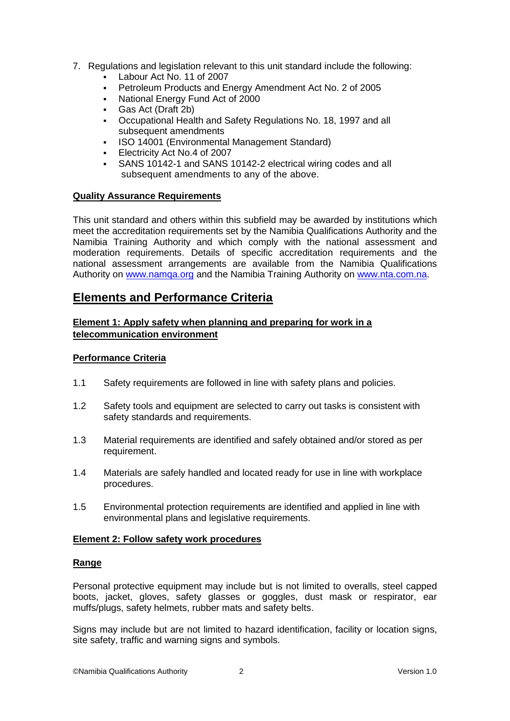- 7. Regulations and legislation relevant to this unit standard include the following:
	- Labour Act No. 11 of 2007
	- Petroleum Products and Energy Amendment Act No. 2 of 2005
	- National Energy Fund Act of 2000
	- Gas Act (Draft 2b)
	- Occupational Health and Safety Regulations No. 18, 1997 and all subsequent amendments
	- ISO 14001 (Environmental Management Standard)
	- **Electricity Act No.4 of 2007**
	- SANS 10142-1 and SANS 10142-2 electrical wiring codes and all subsequent amendments to any of the above.

### **Quality Assurance Requirements**

This unit standard and others within this subfield may be awarded by institutions which meet the accreditation requirements set by the Namibia Qualifications Authority and the Namibia Training Authority and which comply with the national assessment and moderation requirements. Details of specific accreditation requirements and the national assessment arrangements are available from the Namibia Qualifications Authority on [www.namqa.org](http://www.namqa.org/) and the Namibia Training Authority on [www.nta.com.na.](http://www.nta.com.na/)

# **Elements and Performance Criteria**

# **Element 1: Apply safety when planning and preparing for work in a telecommunication environment**

# **Performance Criteria**

- 1.1 Safety requirements are followed in line with safety plans and policies.
- 1.2 Safety tools and equipment are selected to carry out tasks is consistent with safety standards and requirements.
- 1.3 Material requirements are identified and safely obtained and/or stored as per requirement.
- 1.4 Materials are safely handled and located ready for use in line with workplace procedures.
- 1.5 Environmental protection requirements are identified and applied in line with environmental plans and legislative requirements.

#### **Element 2: Follow safety work procedures**

#### **Range**

Personal protective equipment may include but is not limited to overalls, steel capped boots, jacket, gloves, safety glasses or goggles, dust mask or respirator, ear muffs/plugs, safety helmets, rubber mats and safety belts.

Signs may include but are not limited to hazard identification, facility or location signs, site safety, traffic and warning signs and symbols.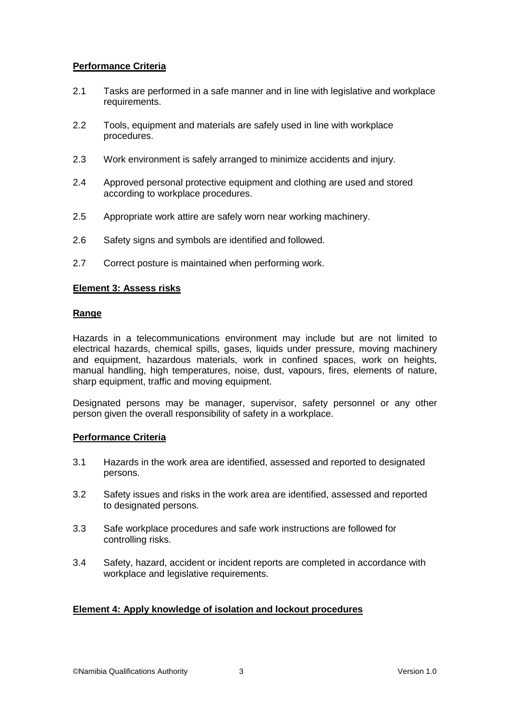# **Performance Criteria**

- 2.1 Tasks are performed in a safe manner and in line with legislative and workplace requirements.
- 2.2 Tools, equipment and materials are safely used in line with workplace procedures.
- 2.3 Work environment is safely arranged to minimize accidents and injury.
- 2.4 Approved personal protective equipment and clothing are used and stored according to workplace procedures.
- 2.5 Appropriate work attire are safely worn near working machinery.
- 2.6 Safety signs and symbols are identified and followed.
- 2.7 Correct posture is maintained when performing work.

### **Element 3: Assess risks**

### **Range**

Hazards in a telecommunications environment may include but are not limited to electrical hazards, chemical spills, gases, liquids under pressure, moving machinery and equipment, hazardous materials, work in confined spaces, work on heights, manual handling, high temperatures, noise, dust, vapours, fires, elements of nature, sharp equipment, traffic and moving equipment.

Designated persons may be manager, supervisor, safety personnel or any other person given the overall responsibility of safety in a workplace.

#### **Performance Criteria**

- 3.1 Hazards in the work area are identified, assessed and reported to designated persons.
- 3.2 Safety issues and risks in the work area are identified, assessed and reported to designated persons.
- 3.3 Safe workplace procedures and safe work instructions are followed for controlling risks.
- 3.4 Safety, hazard, accident or incident reports are completed in accordance with workplace and legislative requirements.

# **Element 4: Apply knowledge of isolation and lockout procedures**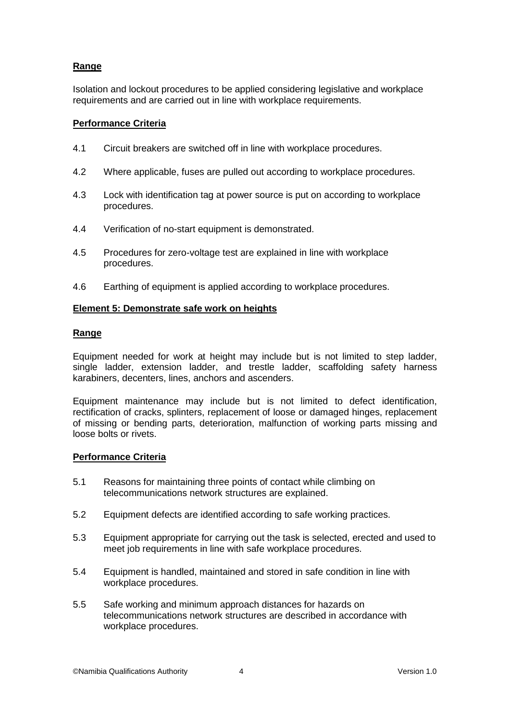# **Range**

Isolation and lockout procedures to be applied considering legislative and workplace requirements and are carried out in line with workplace requirements.

# **Performance Criteria**

- 4.1 Circuit breakers are switched off in line with workplace procedures.
- 4.2 Where applicable, fuses are pulled out according to workplace procedures.
- 4.3 Lock with identification tag at power source is put on according to workplace procedures.
- 4.4 Verification of no-start equipment is demonstrated.
- 4.5 Procedures for zero-voltage test are explained in line with workplace procedures.
- 4.6 Earthing of equipment is applied according to workplace procedures.

### **Element 5: Demonstrate safe work on heights**

### **Range**

Equipment needed for work at height may include but is not limited to step ladder, single ladder, extension ladder, and trestle ladder, scaffolding safety harness karabiners, decenters, lines, anchors and ascenders.

Equipment maintenance may include but is not limited to defect identification, rectification of cracks, splinters, replacement of loose or damaged hinges, replacement of missing or bending parts, deterioration, malfunction of working parts missing and loose bolts or rivets.

# **Performance Criteria**

- 5.1 Reasons for maintaining three points of contact while climbing on telecommunications network structures are explained.
- 5.2 Equipment defects are identified according to safe working practices.
- 5.3 Equipment appropriate for carrying out the task is selected, erected and used to meet job requirements in line with safe workplace procedures.
- 5.4 Equipment is handled, maintained and stored in safe condition in line with workplace procedures.
- 5.5 Safe working and minimum approach distances for hazards on telecommunications network structures are described in accordance with workplace procedures.